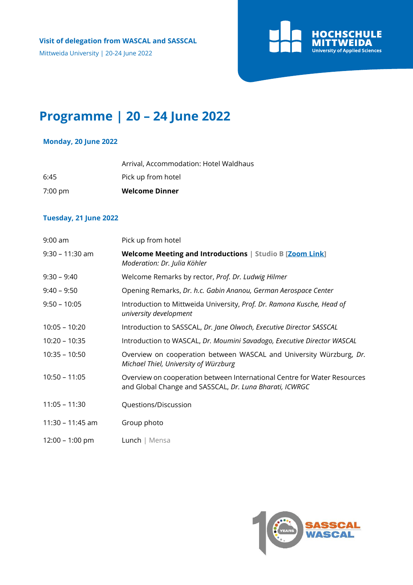

# **Programme | 20 – 24 June 2022**

#### **Monday, 20 June 2022**

| $7:00 \text{ pm}$ | <b>Welcome Dinner</b>                  |
|-------------------|----------------------------------------|
| 6:45              | Pick up from hotel                     |
|                   | Arrival, Accommodation: Hotel Waldhaus |

#### **Tuesday, 21 June 2022**

| $9:00$ am         | Pick up from hotel                                                                                                                  |
|-------------------|-------------------------------------------------------------------------------------------------------------------------------------|
| $9:30 - 11:30$ am | <b>Welcome Meeting and Introductions   Studio B [Zoom Link]</b><br>Moderation: Dr. Julia Köhler                                     |
| $9:30 - 9:40$     | Welcome Remarks by rector, Prof. Dr. Ludwig Hilmer                                                                                  |
| $9:40 - 9:50$     | Opening Remarks, Dr. h.c. Gabin Ananou, German Aerospace Center                                                                     |
| $9:50 - 10:05$    | Introduction to Mittweida University, Prof. Dr. Ramona Kusche, Head of<br>university development                                    |
| $10:05 - 10:20$   | Introduction to SASSCAL, Dr. Jane Olwoch, Executive Director SASSCAL                                                                |
| $10:20 - 10:35$   | Introduction to WASCAL, Dr. Moumini Savadogo, Executive Director WASCAL                                                             |
| $10:35 - 10:50$   | Overview on cooperation between WASCAL and University Würzburg, Dr.<br>Michael Thiel, University of Würzburg                        |
| $10:50 - 11:05$   | Overview on cooperation between International Centre for Water Resources<br>and Global Change and SASSCAL, Dr. Luna Bharati, ICWRGC |
| $11:05 - 11:30$   | Questions/Discussion                                                                                                                |
| 11:30 - 11:45 am  | Group photo                                                                                                                         |
| $12:00 - 1:00$ pm | Lunch   Mensa                                                                                                                       |

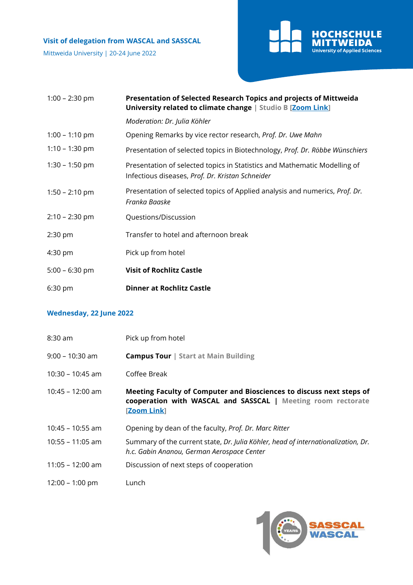#### **Visit of delegation from WASCAL and SASSCAL**

Mittweida University | 20-24 June 2022



| $1:00 - 2:30$ pm | Presentation of Selected Research Topics and projects of Mittweida<br>University related to climate change   Studio B [Zoom Link] |
|------------------|-----------------------------------------------------------------------------------------------------------------------------------|
|                  | Moderation: Dr. Julia Köhler                                                                                                      |
| $1:00 - 1:10$ pm | Opening Remarks by vice rector research, Prof. Dr. Uwe Mahn                                                                       |
| $1:10 - 1:30$ pm | Presentation of selected topics in Biotechnology, Prof. Dr. Röbbe Wünschiers                                                      |
| $1:30 - 1:50$ pm | Presentation of selected topics in Statistics and Mathematic Modelling of<br>Infectious diseases, Prof. Dr. Kristan Schneider     |
| $1:50 - 2:10$ pm | Presentation of selected topics of Applied analysis and numerics, Prof. Dr.<br>Franka Baaske                                      |
| $2:10 - 2:30$ pm | Questions/Discussion                                                                                                              |
| 2:30 pm          | Transfer to hotel and afternoon break                                                                                             |
| 4:30 pm          | Pick up from hotel                                                                                                                |
| $5:00 - 6:30$ pm | <b>Visit of Rochlitz Castle</b>                                                                                                   |
| 6:30 pm          | <b>Dinner at Rochlitz Castle</b>                                                                                                  |

### **Wednesday, 22 June 2022**

| 8:30 am            | Pick up from hotel                                                                                                                                  |
|--------------------|-----------------------------------------------------------------------------------------------------------------------------------------------------|
| $9:00 - 10:30$ am  | <b>Campus Tour   Start at Main Building</b>                                                                                                         |
| $10:30 - 10:45$ am | Coffee Break                                                                                                                                        |
| $10:45 - 12:00$ am | Meeting Faculty of Computer and Biosciences to discuss next steps of<br>cooperation with WASCAL and SASSCAL   Meeting room rectorate<br>[Zoom Link] |
| $10:45 - 10:55$ am | Opening by dean of the faculty, Prof. Dr. Marc Ritter                                                                                               |
| $10:55 - 11:05$ am | Summary of the current state, Dr. Julia Köhler, head of internationalization, Dr.<br>h.c. Gabin Ananou, German Aerospace Center                     |
| 11:05 - 12:00 am   | Discussion of next steps of cooperation                                                                                                             |
| $12:00 - 1:00$ pm  | Lunch                                                                                                                                               |